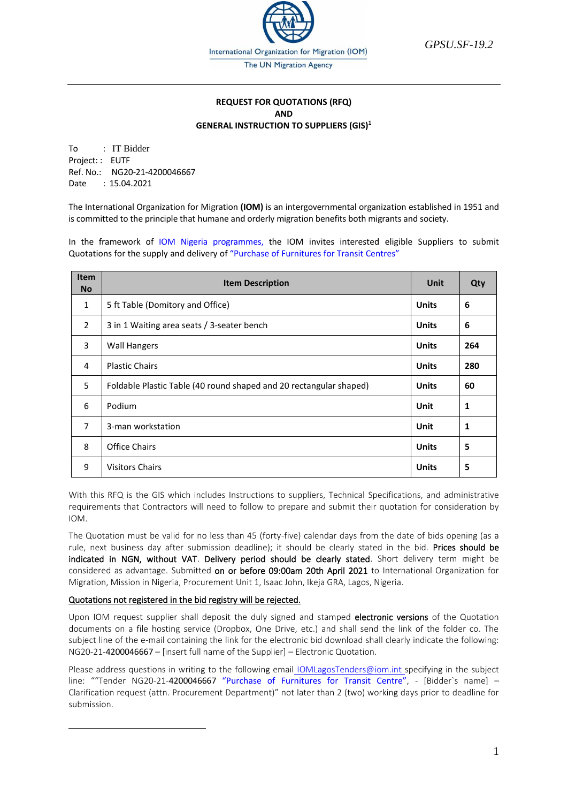

*GPSU.SF-19.2*

# **REQUEST FOR QUOTATIONS (RFQ) AND GENERAL INSTRUCTION TO SUPPLIERS (GIS)<sup>1</sup>**

To : IT Bidder Project: : EUTF Ref. No.: NG20-21-4200046667 Date : 15.04.2021

The International Organization for Migration **(IOM)** is an intergovernmental organization established in 1951 and is committed to the principle that humane and orderly migration benefits both migrants and society.

In the framework of IOM Nigeria programmes, the IOM invites interested eligible Suppliers to submit Quotations for the supply and delivery of "Purchase of Furnitures for Transit Centres"

| <b>Item</b><br><b>No</b> | <b>Item Description</b>                                            | Unit         | Qty |
|--------------------------|--------------------------------------------------------------------|--------------|-----|
| $\mathbf{1}$             | 5 ft Table (Domitory and Office)                                   | <b>Units</b> | 6   |
| $\overline{2}$           | 3 in 1 Waiting area seats / 3-seater bench                         | <b>Units</b> | 6   |
| 3                        | <b>Wall Hangers</b>                                                | <b>Units</b> | 264 |
| 4                        | <b>Plastic Chairs</b>                                              | <b>Units</b> | 280 |
| 5                        | Foldable Plastic Table (40 round shaped and 20 rectangular shaped) | <b>Units</b> | 60  |
| 6                        | Podium                                                             | Unit         | 1   |
| $\overline{7}$           | 3-man workstation                                                  | Unit         | 1   |
| 8                        | <b>Office Chairs</b>                                               | <b>Units</b> | 5   |
| 9                        | <b>Visitors Chairs</b>                                             | <b>Units</b> | 5   |

With this RFQ is the GIS which includes Instructions to suppliers, Technical Specifications, and administrative requirements that Contractors will need to follow to prepare and submit their quotation for consideration by IOM.

The Quotation must be valid for no less than 45 (forty-five) calendar days from the date of bids opening (as a rule, next business day after submission deadline); it should be clearly stated in the bid. Prices should be indicated in NGN, without VAT. Delivery period should be clearly stated. Short delivery term might be considered as advantage. Submitted on or before 09:00am 20th April 2021 to International Organization for Migration, Mission in Nigeria, Procurement Unit 1, Isaac John, Ikeja GRA, Lagos, Nigeria.

# Quotations not registered in the bid registry will be rejected.

Upon IOM request supplier shall deposit the duly signed and stamped electronic versions of the Quotation documents on a file hosting service (Dropbox, One Drive, etc.) and shall send the link of the folder co. The subject line of the e-mail containing the link for the electronic bid download shall clearly indicate the following: NG20-21-4200046667 – [insert full name of the Supplier] – Electronic Quotation.

Please address questions in writing to the following email [IOMLagosTenders@iom.int](mailto:IOMLagosTenders@iom.int) specifying in the subject line: ""Tender NG20-21-4200046667 "Purchase of Furnitures for Transit Centre", - [Bidder`s name] -Clarification request (attn. Procurement Department)" not later than 2 (two) working days prior to deadline for submission.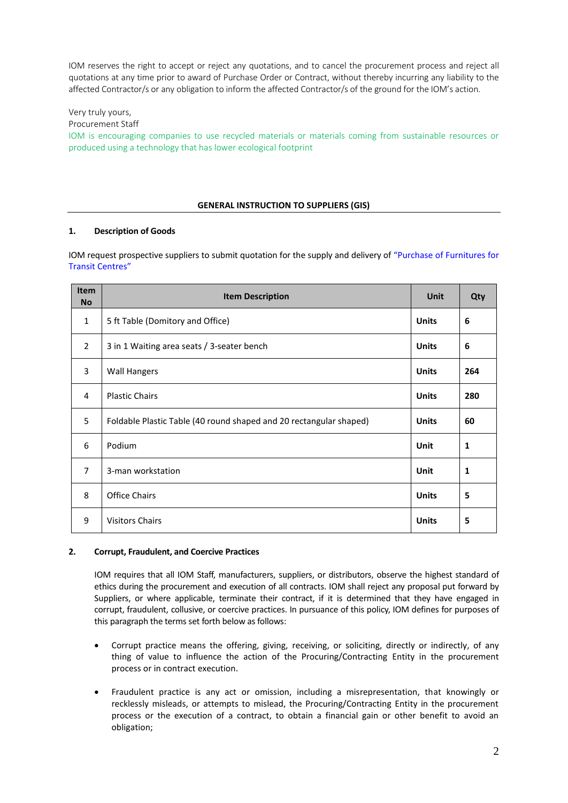IOM reserves the right to accept or reject any quotations, and to cancel the procurement process and reject all quotations at any time prior to award of Purchase Order or Contract, without thereby incurring any liability to the affected Contractor/s or any obligation to inform the affected Contractor/s of the ground for the IOM's action.

Very truly yours,

Procurement Staff

IOM is encouraging companies to use recycled materials or materials coming from sustainable resources or produced using a technology that has lower ecological footprint

# **GENERAL INSTRUCTION TO SUPPLIERS (GIS)**

## **1. Description of Goods**

IOM request prospective suppliers to submit quotation for the supply and delivery of "Purchase of Furnitures for Transit Centres"

| <b>Item</b><br><b>No</b> | <b>Item Description</b>                                            | <b>Unit</b>  | Qty |
|--------------------------|--------------------------------------------------------------------|--------------|-----|
| $\mathbf{1}$             | 5 ft Table (Domitory and Office)                                   | <b>Units</b> | 6   |
| 2                        | 3 in 1 Waiting area seats / 3-seater bench                         | <b>Units</b> | 6   |
| 3                        | <b>Wall Hangers</b>                                                | <b>Units</b> | 264 |
| 4                        | <b>Plastic Chairs</b>                                              | <b>Units</b> | 280 |
| 5                        | Foldable Plastic Table (40 round shaped and 20 rectangular shaped) | <b>Units</b> | 60  |
| 6                        | Podium                                                             | Unit         | 1   |
| $\overline{7}$           | 3-man workstation                                                  | <b>Unit</b>  | 1   |
| 8                        | <b>Office Chairs</b>                                               | <b>Units</b> | 5   |
| 9                        | <b>Visitors Chairs</b>                                             | <b>Units</b> | 5   |

## **2. Corrupt, Fraudulent, and Coercive Practices**

IOM requires that all IOM Staff, manufacturers, suppliers, or distributors, observe the highest standard of ethics during the procurement and execution of all contracts. IOM shall reject any proposal put forward by Suppliers, or where applicable, terminate their contract, if it is determined that they have engaged in corrupt, fraudulent, collusive, or coercive practices. In pursuance of this policy, IOM defines for purposes of this paragraph the terms set forth below as follows:

- Corrupt practice means the offering, giving, receiving, or soliciting, directly or indirectly, of any thing of value to influence the action of the Procuring/Contracting Entity in the procurement process or in contract execution.
- Fraudulent practice is any act or omission, including a misrepresentation, that knowingly or recklessly misleads, or attempts to mislead, the Procuring/Contracting Entity in the procurement process or the execution of a contract, to obtain a financial gain or other benefit to avoid an obligation;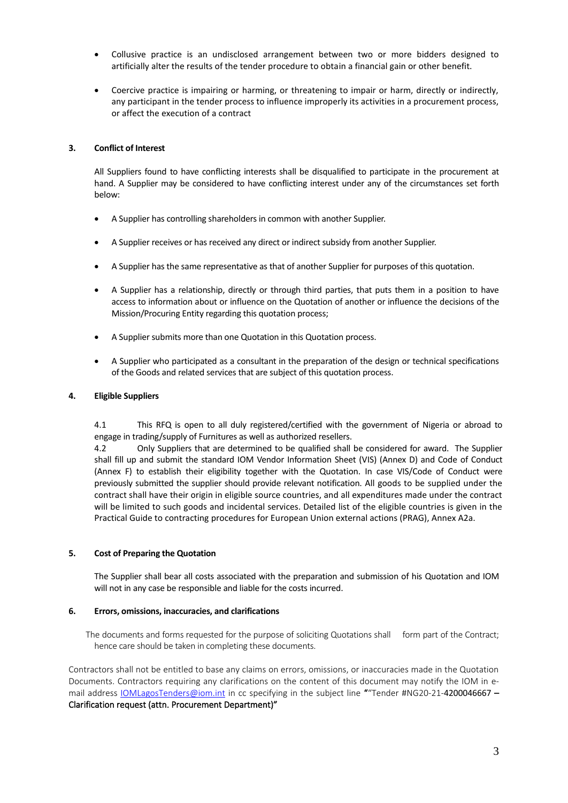- Collusive practice is an undisclosed arrangement between two or more bidders designed to artificially alter the results of the tender procedure to obtain a financial gain or other benefit.
- Coercive practice is impairing or harming, or threatening to impair or harm, directly or indirectly, any participant in the tender process to influence improperly its activities in a procurement process, or affect the execution of a contract

#### **3. Conflict of Interest**

All Suppliers found to have conflicting interests shall be disqualified to participate in the procurement at hand. A Supplier may be considered to have conflicting interest under any of the circumstances set forth below:

- A Supplier has controlling shareholders in common with another Supplier.
- A Supplier receives or has received any direct or indirect subsidy from another Supplier.
- A Supplier has the same representative as that of another Supplier for purposes of this quotation.
- A Supplier has a relationship, directly or through third parties, that puts them in a position to have access to information about or influence on the Quotation of another or influence the decisions of the Mission/Procuring Entity regarding this quotation process;
- A Supplier submits more than one Quotation in this Quotation process.
- A Supplier who participated as a consultant in the preparation of the design or technical specifications of the Goods and related services that are subject of this quotation process.

#### **4. Eligible Suppliers**

4.1 This RFQ is open to all duly registered/certified with the government of Nigeria or abroad to engage in trading/supply of Furnitures as well as authorized resellers.

4.2 Only Suppliers that are determined to be qualified shall be considered for award. The Supplier shall fill up and submit the standard IOM Vendor Information Sheet (VIS) (Annex D) and Code of Conduct (Annex F) to establish their eligibility together with the Quotation. In case VIS/Code of Conduct were previously submitted the supplier should provide relevant notification. All goods to be supplied under the contract shall have their origin in eligible source countries, and all expenditures made under the contract will be limited to such goods and incidental services. Detailed list of the eligible countries is given in the Practical Guide to contracting procedures for European Union external actions (PRAG), Annex A2a.

#### **5. Cost of Preparing the Quotation**

The Supplier shall bear all costs associated with the preparation and submission of his Quotation and IOM will not in any case be responsible and liable for the costs incurred.

#### **6. Errors, omissions, inaccuracies, and clarifications**

The documents and forms requested for the purpose of soliciting Quotations shall form part of the Contract; hence care should be taken in completing these documents.

Contractors shall not be entitled to base any claims on errors, omissions, or inaccuracies made in the Quotation Documents. Contractors requiring any clarifications on the content of this document may notify the IOM in e-mail address [IOMLagosTenders@iom.int](mailto:IOMLagosTenders@iom.int) in cc specifying in the subject line ""Tender #NG20-21-4200046667 -Clarification request (attn. Procurement Department)"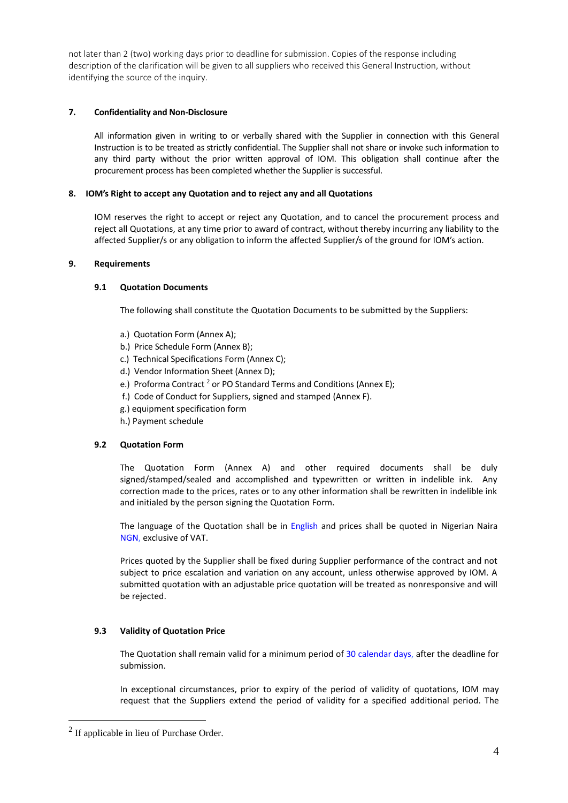not later than 2 (two) working days prior to deadline for submission. Copies of the response including description of the clarification will be given to all suppliers who received this General Instruction, without identifying the source of the inquiry.

## **7. Confidentiality and Non-Disclosure**

All information given in writing to or verbally shared with the Supplier in connection with this General Instruction is to be treated as strictly confidential. The Supplier shall not share or invoke such information to any third party without the prior written approval of IOM. This obligation shall continue after the procurement process has been completed whether the Supplier is successful.

## **8. IOM's Right to accept any Quotation and to reject any and all Quotations**

IOM reserves the right to accept or reject any Quotation, and to cancel the procurement process and reject all Quotations, at any time prior to award of contract, without thereby incurring any liability to the affected Supplier/s or any obligation to inform the affected Supplier/s of the ground for IOM's action.

## **9. Requirements**

## **9.1 Quotation Documents**

The following shall constitute the Quotation Documents to be submitted by the Suppliers:

- a.) Quotation Form (Annex A);
- b.) Price Schedule Form (Annex B);
- c.) Technical Specifications Form (Annex C);
- d.) Vendor Information Sheet (Annex D);
- e.) Proforma Contract<sup>2</sup> or PO Standard Terms and Conditions (Annex E);
- f.) Code of Conduct for Suppliers, signed and stamped (Annex F).
- g.) equipment specification form
- h.) Payment schedule

### **9.2 Quotation Form**

The Quotation Form (Annex A) and other required documents shall be duly signed/stamped/sealed and accomplished and typewritten or written in indelible ink. Any correction made to the prices, rates or to any other information shall be rewritten in indelible ink and initialed by the person signing the Quotation Form.

The language of the Quotation shall be in English and prices shall be quoted in Nigerian Naira NGN, exclusive of VAT.

Prices quoted by the Supplier shall be fixed during Supplier performance of the contract and not subject to price escalation and variation on any account, unless otherwise approved by IOM. A submitted quotation with an adjustable price quotation will be treated as nonresponsive and will be rejected.

# **9.3 Validity of Quotation Price**

The Quotation shall remain valid for a minimum period of 30 calendar days, after the deadline for submission.

In exceptional circumstances, prior to expiry of the period of validity of quotations, IOM may request that the Suppliers extend the period of validity for a specified additional period. The

 $2$  If applicable in lieu of Purchase Order.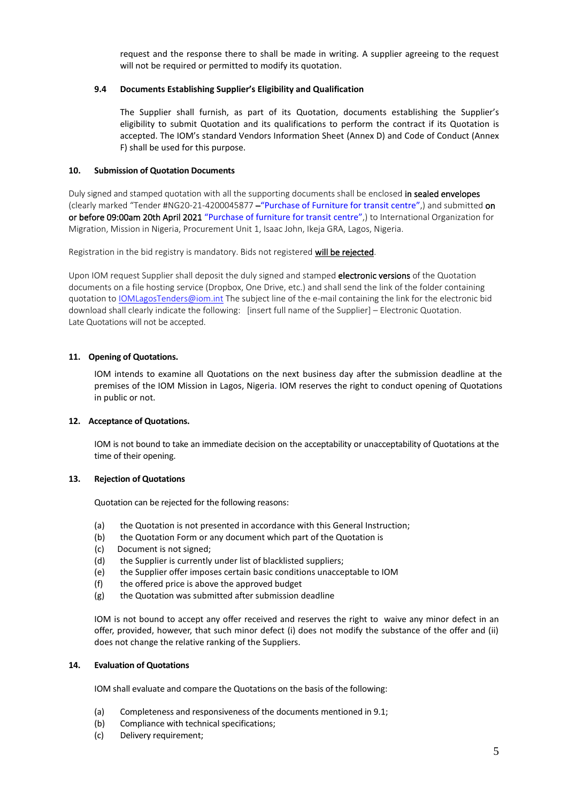request and the response there to shall be made in writing. A supplier agreeing to the request will not be required or permitted to modify its quotation.

## **9.4 Documents Establishing Supplier's Eligibility and Qualification**

The Supplier shall furnish, as part of its Quotation, documents establishing the Supplier's eligibility to submit Quotation and its qualifications to perform the contract if its Quotation is accepted. The IOM's standard Vendors Information Sheet (Annex D) and Code of Conduct (Annex F) shall be used for this purpose.

## **10. Submission of Quotation Documents**

Duly signed and stamped quotation with all the supporting documents shall be enclosed in sealed envelopes (clearly marked "Tender #NG20-21-4200045877 –"Purchase of Furniture for transit centre",) and submitted on or before 09:00am 20th April 2021 "Purchase of furniture for transit centre",) to International Organization for Migration, Mission in Nigeria, Procurement Unit 1, Isaac John, Ikeja GRA, Lagos, Nigeria.

Registration in the bid registry is mandatory. Bids not registered will be rejected.

Upon IOM request Supplier shall deposit the duly signed and stamped electronic versions of the Quotation documents on a file hosting service (Dropbox, One Drive, etc.) and shall send the link of the folder containing quotation to [IOMLagosTenders@iom.int](mailto:IOMLagosTenders@iom.int) The subject line of the e-mail containing the link for the electronic bid download shall clearly indicate the following: [insert full name of the Supplier] – Electronic Quotation. Late Quotations will not be accepted.

# **11. Opening of Quotations.**

IOM intends to examine all Quotations on the next business day after the submission deadline at the premises of the IOM Mission in Lagos, Nigeria. IOM reserves the right to conduct opening of Quotations in public or not.

#### **12. Acceptance of Quotations.**

IOM is not bound to take an immediate decision on the acceptability or unacceptability of Quotations at the time of their opening.

#### **13. Rejection of Quotations**

Quotation can be rejected for the following reasons:

- (a) the Quotation is not presented in accordance with this General Instruction;
- (b) the Quotation Form or any document which part of the Quotation is
- (c) Document is not signed;
- (d) the Supplier is currently under list of blacklisted suppliers;
- (e) the Supplier offer imposes certain basic conditions unacceptable to IOM
- (f) the offered price is above the approved budget
- (g) the Quotation was submitted after submission deadline

IOM is not bound to accept any offer received and reserves the right to waive any minor defect in an offer, provided, however, that such minor defect (i) does not modify the substance of the offer and (ii) does not change the relative ranking of the Suppliers.

#### **14. Evaluation of Quotations**

IOM shall evaluate and compare the Quotations on the basis of the following:

- (a) Completeness and responsiveness of the documents mentioned in 9.1;
- (b) Compliance with technical specifications;
- (c) Delivery requirement;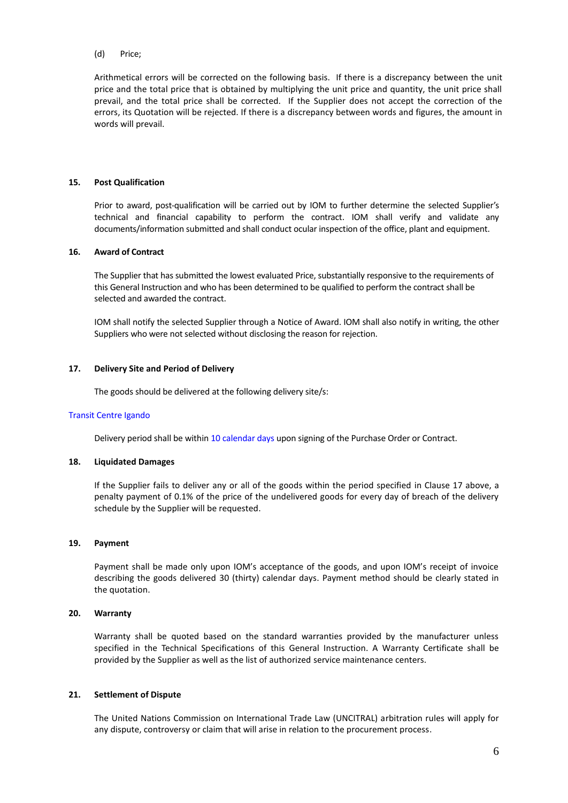#### (d) Price;

Arithmetical errors will be corrected on the following basis. If there is a discrepancy between the unit price and the total price that is obtained by multiplying the unit price and quantity, the unit price shall prevail, and the total price shall be corrected. If the Supplier does not accept the correction of the errors, its Quotation will be rejected. If there is a discrepancy between words and figures, the amount in words will prevail.

#### **15. Post Qualification**

Prior to award, post-qualification will be carried out by IOM to further determine the selected Supplier's technical and financial capability to perform the contract. IOM shall verify and validate any documents/information submitted and shall conduct ocular inspection of the office, plant and equipment.

#### **16. Award of Contract**

The Supplier that has submitted the lowest evaluated Price, substantially responsive to the requirements of this General Instruction and who has been determined to be qualified to perform the contract shall be selected and awarded the contract.

IOM shall notify the selected Supplier through a Notice of Award. IOM shall also notify in writing, the other Suppliers who were not selected without disclosing the reason for rejection.

#### **17. Delivery Site and Period of Delivery**

The goods should be delivered at the following delivery site/s:

#### Transit Centre Igando

Delivery period shall be within 10 calendar days upon signing of the Purchase Order or Contract.

#### **18. Liquidated Damages**

If the Supplier fails to deliver any or all of the goods within the period specified in Clause 17 above, a penalty payment of 0.1% of the price of the undelivered goods for every day of breach of the delivery schedule by the Supplier will be requested.

#### **19. Payment**

Payment shall be made only upon IOM's acceptance of the goods, and upon IOM's receipt of invoice describing the goods delivered 30 (thirty) calendar days. Payment method should be clearly stated in the quotation.

#### **20. Warranty**

Warranty shall be quoted based on the standard warranties provided by the manufacturer unless specified in the Technical Specifications of this General Instruction. A Warranty Certificate shall be provided by the Supplier as well as the list of authorized service maintenance centers.

#### **21. Settlement of Dispute**

The United Nations Commission on International Trade Law (UNCITRAL) arbitration rules will apply for any dispute, controversy or claim that will arise in relation to the procurement process.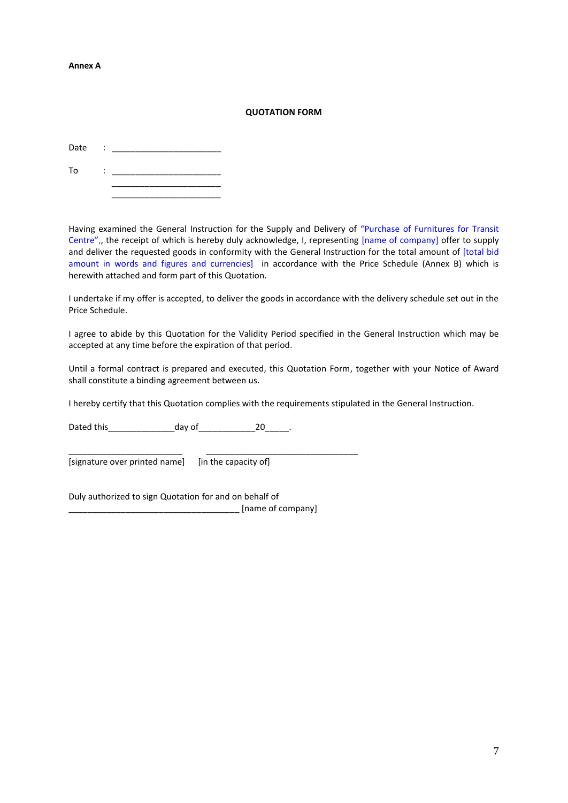#### **Annex A**

#### **QUOTATION FORM**

| Date | ٠<br>$\ddot{\phantom{a}}$ |  |
|------|---------------------------|--|
| To   | ٠<br>٠                    |  |
|      |                           |  |

Having examined the General Instruction for the Supply and Delivery of "Purchase of Furnitures for Transit Centre",, the receipt of which is hereby duly acknowledge, I, representing [name of company] offer to supply and deliver the requested goods in conformity with the General Instruction for the total amount of [total bid amount in words and figures and currencies] in accordance with the Price Schedule (Annex B) which is herewith attached and form part of this Quotation.

I undertake if my offer is accepted, to deliver the goods in accordance with the delivery schedule set out in the Price Schedule.

I agree to abide by this Quotation for the Validity Period specified in the General Instruction which may be accepted at any time before the expiration of that period.

Until a formal contract is prepared and executed, this Quotation Form, together with your Notice of Award shall constitute a binding agreement between us.

I hereby certify that this Quotation complies with the requirements stipulated in the General Instruction.

Dated this day of the 20 and 20 and 20 and 20 and 20 and 20 and 20 and 20 and 20

\_\_\_\_\_\_\_\_\_\_\_\_\_\_\_\_\_\_\_\_\_\_\_\_ \_\_\_\_\_\_\_\_\_\_\_\_\_\_\_\_\_\_\_\_\_\_\_\_\_\_\_\_\_\_\_\_ [signature over printed name] [in the capacity of]

Duly authorized to sign Quotation for and on behalf of \_\_\_\_\_\_\_\_\_\_\_\_\_\_\_\_\_\_\_\_\_\_\_\_\_\_\_\_\_\_\_\_\_\_\_\_ [name of company]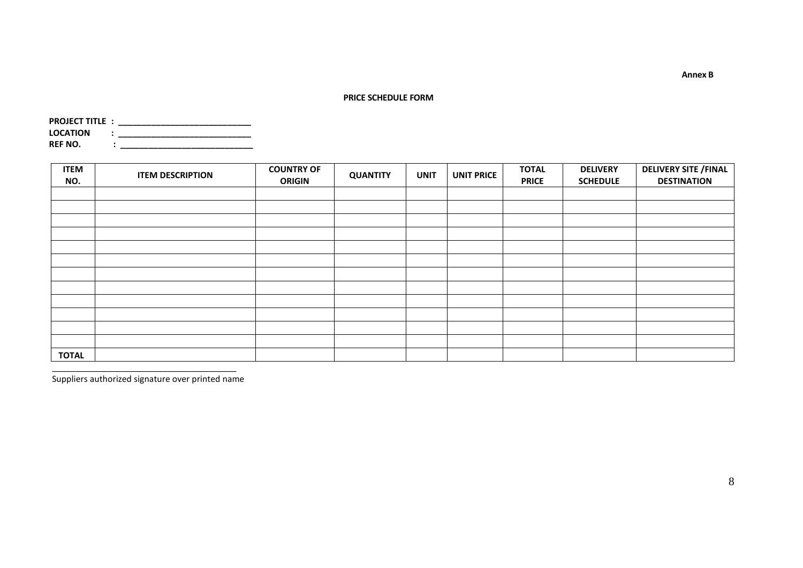**PRICE SCHEDULE FORM**

| <b>PROJECT TITLE:</b> |   |  |
|-----------------------|---|--|
| <b>LOCATION</b>       | ٠ |  |
| REF NO.               |   |  |

| <b>ITEM</b><br>NO. | <b>ITEM DESCRIPTION</b> | <b>COUNTRY OF</b><br><b>ORIGIN</b> | <b>QUANTITY</b> | <b>UNIT</b> | <b>UNIT PRICE</b> | <b>TOTAL</b><br><b>PRICE</b> | <b>DELIVERY</b><br><b>SCHEDULE</b> | <b>DELIVERY SITE / FINAL</b><br><b>DESTINATION</b> |
|--------------------|-------------------------|------------------------------------|-----------------|-------------|-------------------|------------------------------|------------------------------------|----------------------------------------------------|
|                    |                         |                                    |                 |             |                   |                              |                                    |                                                    |
|                    |                         |                                    |                 |             |                   |                              |                                    |                                                    |
|                    |                         |                                    |                 |             |                   |                              |                                    |                                                    |
|                    |                         |                                    |                 |             |                   |                              |                                    |                                                    |
|                    |                         |                                    |                 |             |                   |                              |                                    |                                                    |
|                    |                         |                                    |                 |             |                   |                              |                                    |                                                    |
|                    |                         |                                    |                 |             |                   |                              |                                    |                                                    |
|                    |                         |                                    |                 |             |                   |                              |                                    |                                                    |
|                    |                         |                                    |                 |             |                   |                              |                                    |                                                    |
|                    |                         |                                    |                 |             |                   |                              |                                    |                                                    |
|                    |                         |                                    |                 |             |                   |                              |                                    |                                                    |
|                    |                         |                                    |                 |             |                   |                              |                                    |                                                    |
| <b>TOTAL</b>       |                         |                                    |                 |             |                   |                              |                                    |                                                    |

\_\_\_\_\_\_\_\_\_\_\_\_\_\_\_\_\_\_\_\_\_\_\_\_\_\_\_\_\_\_\_\_\_\_\_\_\_\_\_\_ Suppliers authorized signature over printed name **Annex B**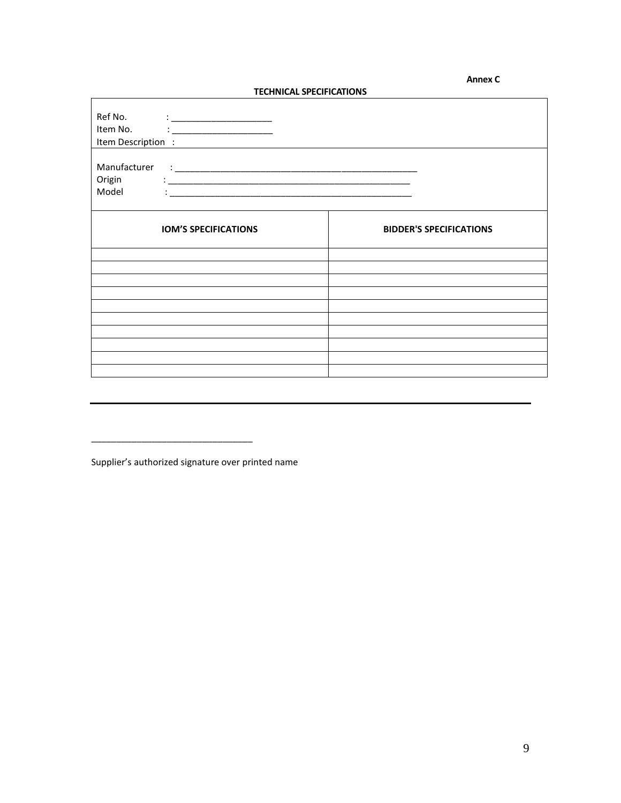#### م المسابق المسابق المسابق المسابق المسابق المسابق المسابق المسابق المسابق المسابق المسابق المسابق المسابق المس<br>المسابق المسابق المسابق المسابق المسابق المسابق المسابق المسابق المسابق المسابق المسابق المسابق المسابق المس

### **TECHNICAL SPECIFICATIONS**

| Ref No.<br>Item No.             | $\frac{1}{2}$ $\frac{1}{2}$ $\frac{1}{2}$ $\frac{1}{2}$ $\frac{1}{2}$ $\frac{1}{2}$ $\frac{1}{2}$ $\frac{1}{2}$ $\frac{1}{2}$ $\frac{1}{2}$ $\frac{1}{2}$ $\frac{1}{2}$ $\frac{1}{2}$ $\frac{1}{2}$ $\frac{1}{2}$ $\frac{1}{2}$ $\frac{1}{2}$ $\frac{1}{2}$ $\frac{1}{2}$ $\frac{1}{2}$ $\frac{1}{2}$ $\frac{1}{2}$<br>Item Description : |                                |
|---------------------------------|-------------------------------------------------------------------------------------------------------------------------------------------------------------------------------------------------------------------------------------------------------------------------------------------------------------------------------------------|--------------------------------|
| Manufacturer<br>Origin<br>Model |                                                                                                                                                                                                                                                                                                                                           |                                |
|                                 | <b>IOM'S SPECIFICATIONS</b>                                                                                                                                                                                                                                                                                                               | <b>BIDDER'S SPECIFICATIONS</b> |
|                                 |                                                                                                                                                                                                                                                                                                                                           |                                |
|                                 |                                                                                                                                                                                                                                                                                                                                           |                                |
|                                 |                                                                                                                                                                                                                                                                                                                                           |                                |
|                                 |                                                                                                                                                                                                                                                                                                                                           |                                |
|                                 |                                                                                                                                                                                                                                                                                                                                           |                                |

Supplier's authorized signature over printed name

\_\_\_\_\_\_\_\_\_\_\_\_\_\_\_\_\_\_\_\_\_\_\_\_\_\_\_\_\_\_\_\_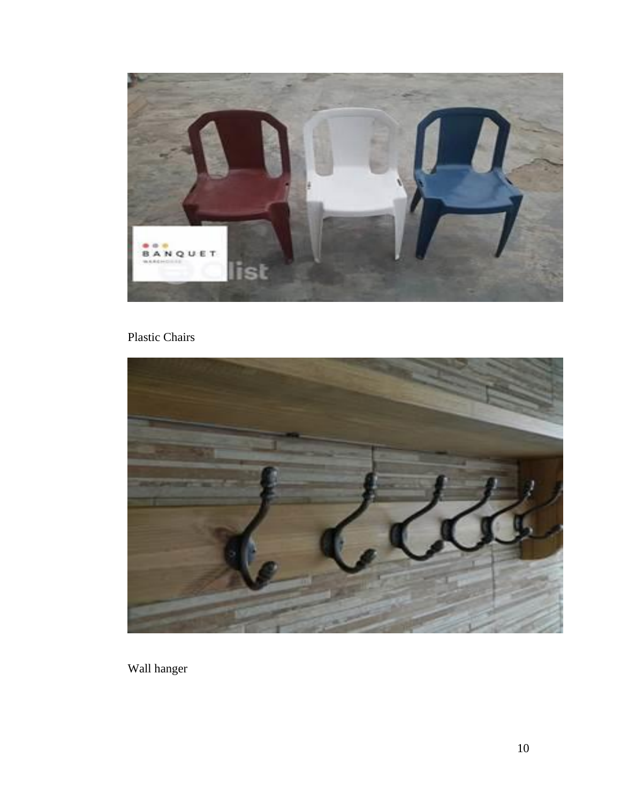

# Plastic Chairs



Wall hanger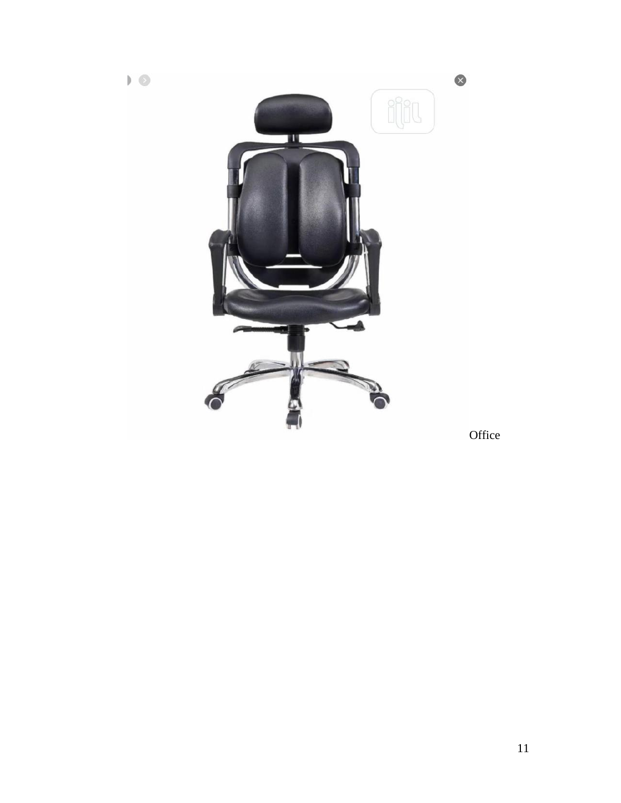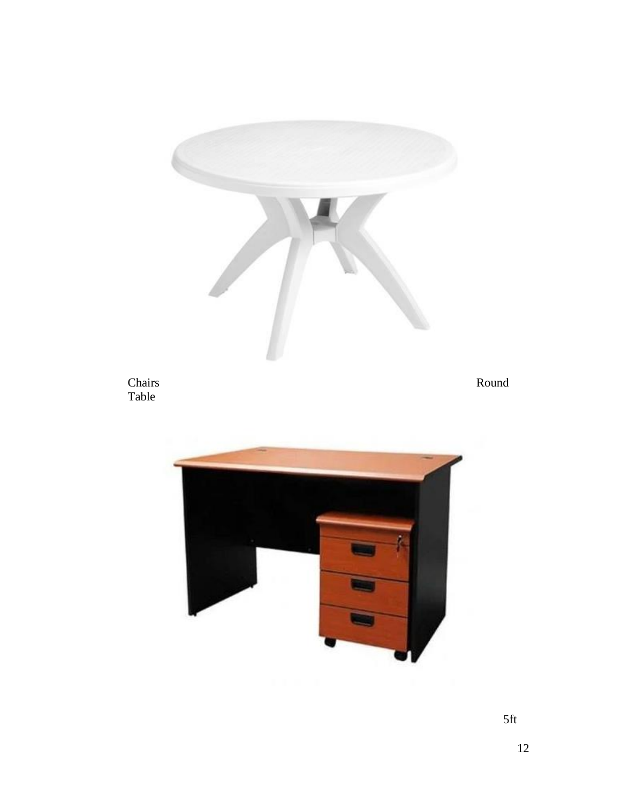

5ft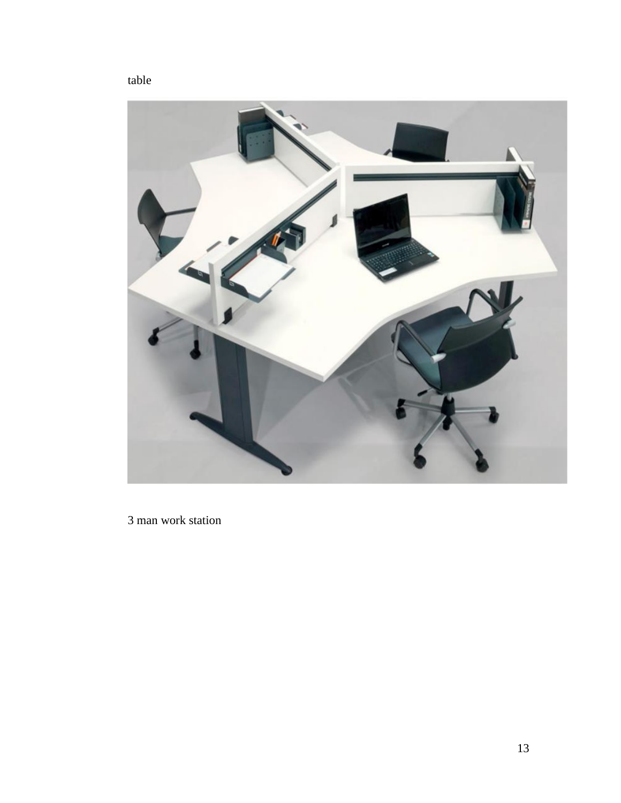



3 man work station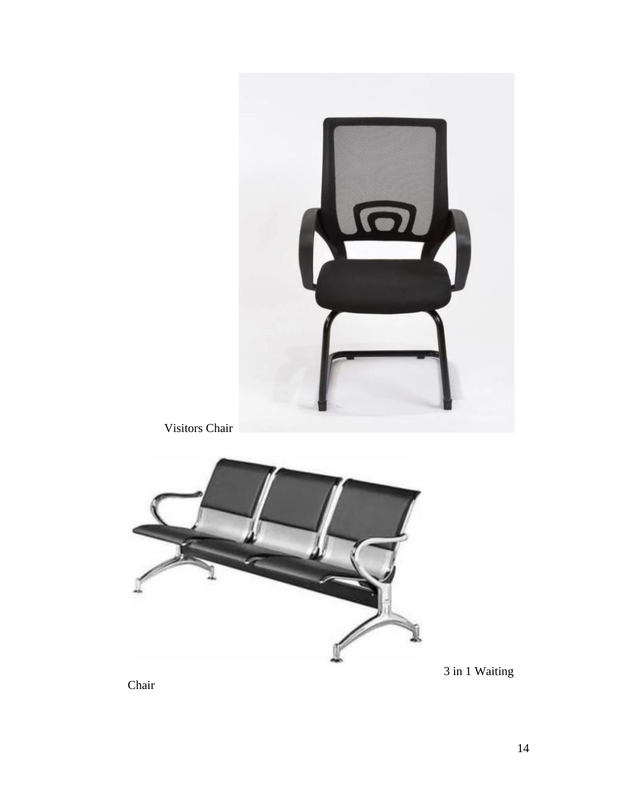

Visitors Chair



3 in 1 Waiting

Chair